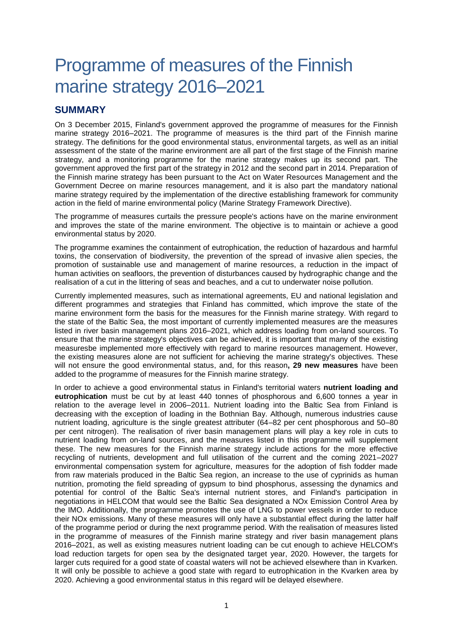## Programme of measures of the Finnish marine strategy 2016–2021

## **SUMMARY**

On 3 December 2015, Finland's government approved the programme of measures for the Finnish marine strategy 2016–2021. The programme of measures is the third part of the Finnish marine strategy. The definitions for the good environmental status, environmental targets, as well as an initial assessment of the state of the marine environment are all part of the first stage of the Finnish marine strategy, and a monitoring programme for the marine strategy makes up its second part. The government approved the first part of the strategy in 2012 and the second part in 2014. Preparation of the Finnish marine strategy has been pursuant to the Act on Water Resources Management and the Government Decree on marine resources management, and it is also part the mandatory national marine strategy required by the implementation of the directive establishing framework for community action in the field of marine environmental policy (Marine Strategy Framework Directive).

The programme of measures curtails the pressure people's actions have on the marine environment and improves the state of the marine environment. The objective is to maintain or achieve a good environmental status by 2020.

The programme examines the containment of eutrophication, the reduction of hazardous and harmful toxins, the conservation of biodiversity, the prevention of the spread of invasive alien species, the promotion of sustainable use and management of marine resources, a reduction in the impact of human activities on seafloors, the prevention of disturbances caused by hydrographic change and the realisation of a cut in the littering of seas and beaches, and a cut to underwater noise pollution.

Currently implemented measures, such as international agreements, EU and national legislation and different programmes and strategies that Finland has committed, which improve the state of the marine environment form the basis for the measures for the Finnish marine strategy. With regard to the state of the Baltic Sea, the most important of currently implemented measures are the measures listed in river basin management plans 2016–2021, which address loading from on-land sources. To ensure that the marine strategy's objectives can be achieved, it is important that many of the existing measuresbe implemented more effectively with regard to marine resources management. However, the existing measures alone are not sufficient for achieving the marine strategy's objectives. These will not ensure the good environmental status, and, for this reason**, 29 new measures** have been added to the programme of measures for the Finnish marine strategy.

In order to achieve a good environmental status in Finland's territorial waters **nutrient loading and eutrophication** must be cut by at least 440 tonnes of phosphorous and 6,600 tonnes a year in relation to the average level in 2006–2011. Nutrient loading into the Baltic Sea from Finland is decreasing with the exception of loading in the Bothnian Bay. Although, numerous industries cause nutrient loading, agriculture is the single greatest attributer (64–82 per cent phosphorous and 50–80 per cent nitrogen). The realisation of river basin management plans will play a key role in cuts to nutrient loading from on-land sources, and the measures listed in this programme will supplement these. The new measures for the Finnish marine strategy include actions for the more effective recycling of nutrients, development and full utilisation of the current and the coming 2021–2027 environmental compensation system for agriculture, measures for the adoption of fish fodder made from raw materials produced in the Baltic Sea region, an increase to the use of cyprinids as human nutrition, promoting the field spreading of gypsum to bind phosphorus, assessing the dynamics and potential for control of the Baltic Sea's internal nutrient stores, and Finland's participation in negotiations in HELCOM that would see the Baltic Sea designated a NOx Emission Control Area by the IMO. Additionally, the programme promotes the use of LNG to power vessels in order to reduce their NOx emissions. Many of these measures will only have a substantial effect during the latter half of the programme period or during the next programme period. With the realisation of measures listed in the programme of measures of the Finnish marine strategy and river basin management plans 2016–2021, as well as existing measures nutrient loading can be cut enough to achieve HELCOM's load reduction targets for open sea by the designated target year, 2020. However, the targets for larger cuts required for a good state of coastal waters will not be achieved elsewhere than in Kvarken. It will only be possible to achieve a good state with regard to eutrophication in the Kvarken area by 2020. Achieving a good environmental status in this regard will be delayed elsewhere.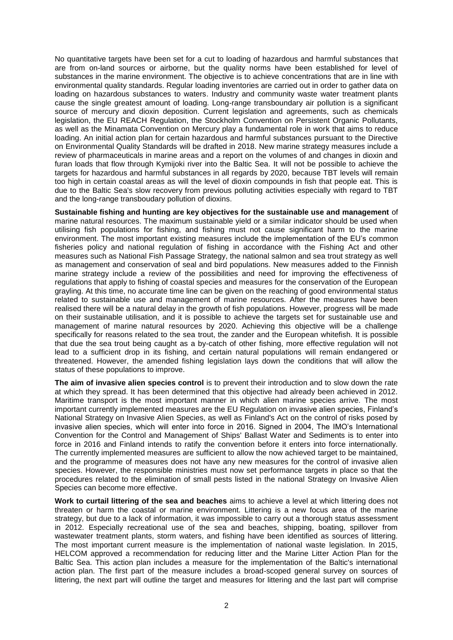No quantitative targets have been set for a cut to loading of hazardous and harmful substances that are from on-land sources or airborne, but the quality norms have been established for level of substances in the marine environment. The objective is to achieve concentrations that are in line with environmental quality standards. Regular loading inventories are carried out in order to gather data on loading on hazardous substances to waters. Industry and community waste water treatment plants cause the single greatest amount of loading. Long-range transboundary air pollution is a significant source of mercury and dioxin deposition. Current legislation and agreements, such as chemicals legislation, the EU REACH Regulation, the Stockholm Convention on Persistent Organic Pollutants, as well as the Minamata Convention on Mercury play a fundamental role in work that aims to reduce loading. An initial action plan for certain hazardous and harmful substances pursuant to the Directive on Environmental Quality Standards will be drafted in 2018. New marine strategy measures include a review of pharmaceuticals in marine areas and a report on the volumes of and changes in dioxin and furan loads that flow through Kymijoki river into the Baltic Sea. It will not be possible to achieve the targets for hazardous and harmful substances in all regards by 2020, because TBT levels will remain too high in certain coastal areas as will the level of dioxin compounds in fish that people eat. This is due to the Baltic Sea's slow recovery from previous polluting activities especially with regard to TBT and the long-range transboudary pollution of dioxins.

**Sustainable fishing and hunting are key objectives for the sustainable use and management** of marine natural resources. The maximum sustainable yield or a similar indicator should be used when utilising fish populations for fishing, and fishing must not cause significant harm to the marine environment. The most important existing measures include the implementation of the EU's common fisheries policy and national regulation of fishing in accordance with the Fishing Act and other measures such as National Fish Passage Strategy, the national salmon and sea trout strategy as well as management and conservation of seal and bird populations. New measures added to the Finnish marine strategy include a review of the possibilities and need for improving the effectiveness of regulations that apply to fishing of coastal species and measures for the conservation of the European grayling. At this time, no accurate time line can be given on the reaching of good environmental status related to sustainable use and management of marine resources. After the measures have been realised there will be a natural delay in the growth of fish populations. However, progress will be made on their sustainable utilisation, and it is possible to achieve the targets set for sustainable use and management of marine natural resources by 2020. Achieving this objective will be a challenge specifically for reasons related to the sea trout, the zander and the European whitefish. It is possible that due the sea trout being caught as a by-catch of other fishing, more effective regulation will not lead to a sufficient drop in its fishing, and certain natural populations will remain endangered or threatened. However, the amended fishing legislation lays down the conditions that will allow the status of these populations to improve.

**The aim of invasive alien species control** is to prevent their introduction and to slow down the rate at which they spread. It has been determined that this objective had already been achieved in 2012. Maritime transport is the most important manner in which alien marine species arrive. The most important currently implemented measures are the EU Regulation on invasive alien species, Finland's National Strategy on Invasive Alien Species, as well as Finland's Act on the control of risks posed by invasive alien species, which will enter into force in 2016. Signed in 2004, The IMO's International Convention for the Control and Management of Ships' Ballast Water and Sediments is to enter into force in 2016 and Finland intends to ratify the convention before it enters into force internationally. The currently implemented measures are sufficient to allow the now achieved target to be maintained, and the programme of measures does not have any new measures for the control of invasive alien species. However, the responsible ministries must now set performance targets in place so that the procedures related to the elimination of small pests listed in the national Strategy on Invasive Alien Species can become more effective.

**Work to curtail littering of the sea and beaches** aims to achieve a level at which littering does not threaten or harm the coastal or marine environment. Littering is a new focus area of the marine strategy, but due to a lack of information, it was impossible to carry out a thorough status assessment in 2012. Especially recreational use of the sea and beaches, shipping, boating, spillover from wastewater treatment plants, storm waters, and fishing have been identified as sources of littering. The most important current measure is the implementation of national waste legislation. In 2015, HELCOM approved a recommendation for reducing litter and the Marine Litter Action Plan for the Baltic Sea. This action plan includes a measure for the implementation of the Baltic's international action plan. The first part of the measure includes a broad-scoped general survey on sources of littering, the next part will outline the target and measures for littering and the last part will comprise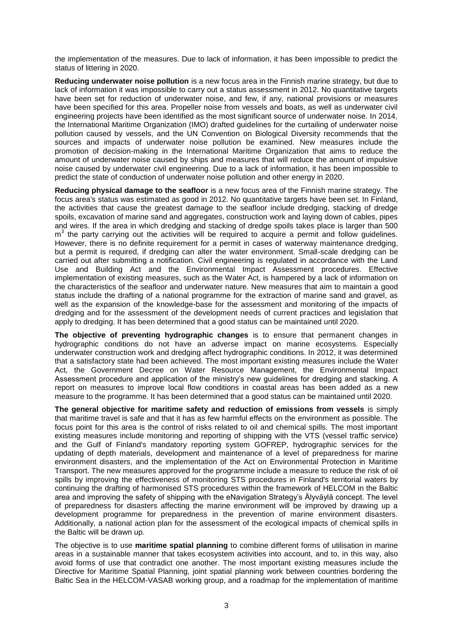the implementation of the measures. Due to lack of information, it has been impossible to predict the status of littering in 2020.

**Reducing underwater noise pollution** is a new focus area in the Finnish marine strategy, but due to lack of information it was impossible to carry out a status assessment in 2012. No quantitative targets have been set for reduction of underwater noise, and few, if any, national provisions or measures have been specified for this area. Propeller noise from vessels and boats, as well as underwater civil engineering projects have been identified as the most significant source of underwater noise. In 2014, the International Maritime Organization (IMO) drafted guidelines for the curtailing of underwater noise pollution caused by vessels, and the UN Convention on Biological Diversity recommends that the sources and impacts of underwater noise pollution be examined. New measures include the promotion of decision-making in the International Maritime Organization that aims to reduce the amount of underwater noise caused by ships and measures that will reduce the amount of impulsive noise caused by underwater civil engineering. Due to a lack of information, it has been impossible to predict the state of conduction of underwater noise pollution and other energy in 2020.

**Reducing physical damage to the seafloor** is a new focus area of the Finnish marine strategy. The focus area's status was estimated as good in 2012. No quantitative targets have been set. In Finland, the activities that cause the greatest damage to the seafloor include dredging, stacking of dredge spoils, excavation of marine sand and aggregates, construction work and laying down of cables, pipes and wires. If the area in which dredging and stacking of dredge spoils takes place is larger than 500  $m<sup>3</sup>$  the party carrying out the activities will be required to acquire a permit and follow guidelines. However, there is no definite requirement for a permit in cases of waterway maintenance dredging, but a permit is required, if dredging can alter the water environment. Small-scale dredging can be carried out after submitting a notification. Civil engineering is regulated in accordance with the Land Use and Building Act and the Environmental Impact Assessment procedures. Effective implementation of existing measures, such as the Water Act, is hampered by a lack of information on the characteristics of the seafloor and underwater nature. New measures that aim to maintain a good status include the drafting of a national programme for the extraction of marine sand and gravel, as well as the expansion of the knowledge-base for the assessment and monitoring of the impacts of dredging and for the assessment of the development needs of current practices and legislation that apply to dredging. It has been determined that a good status can be maintained until 2020.

**The objective of preventing hydrographic changes** is to ensure that permanent changes in hydrographic conditions do not have an adverse impact on marine ecosystems. Especially underwater construction work and dredging affect hydrographic conditions. In 2012, it was determined that a satisfactory state had been achieved. The most important existing measures include the Water Act, the Government Decree on Water Resource Management, the Environmental Impact Assessment procedure and application of the ministry's new guidelines for dredging and stacking. A report on measures to improve local flow conditions in coastal areas has been added as a new measure to the programme. It has been determined that a good status can be maintained until 2020.

**The general objective for maritime safety and reduction of emissions from vessels** is simply that maritime travel is safe and that it has as few harmful effects on the environment as possible. The focus point for this area is the control of risks related to oil and chemical spills. The most important existing measures include monitoring and reporting of shipping with the VTS (vessel traffic service) and the Gulf of Finland's mandatory reporting system GOFREP, hydrographic services for the updating of depth materials, development and maintenance of a level of preparedness for marine environment disasters, and the implementation of the Act on Environmental Protection in Maritime Transport. The new measures approved for the programme include a measure to reduce the risk of oil spills by improving the effectiveness of monitoring STS procedures in Finland's territorial waters by continuing the drafting of harmonised STS procedures within the framework of HELCOM in the Baltic area and improving the safety of shipping with the eNavigation Strategy's Älyväylä concept. The level of preparedness for disasters affecting the marine environment will be improved by drawing up a development programme for preparedness in the prevention of marine environment disasters. Additionally, a national action plan for the assessment of the ecological impacts of chemical spills in the Baltic will be drawn up.

The objective is to use **maritime spatial planning** to combine different forms of utilisation in marine areas in a sustainable manner that takes ecosystem activities into account, and to, in this way, also avoid forms of use that contradict one another. The most important existing measures include the Directive for Maritime Spatial Planning, joint spatial planning work between countries bordering the Baltic Sea in the HELCOM-VASAB working group, and a roadmap for the implementation of maritime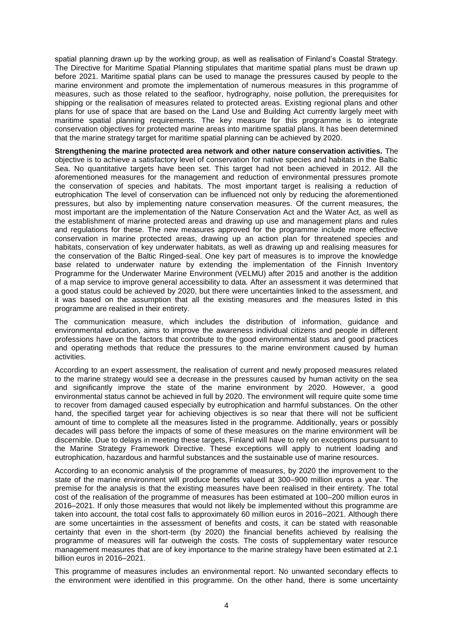spatial planning drawn up by the working group, as well as realisation of Finland's Coastal Strategy. The Directive for Maritime Spatial Planning stipulates that maritime spatial plans must be drawn up before 2021. Maritime spatial plans can be used to manage the pressures caused by people to the marine environment and promote the implementation of numerous measures in this programme of measures, such as those related to the seafloor, hydrography, noise pollution, the prerequisites for shipping or the realisation of measures related to protected areas. Existing regional plans and other plans for use of space that are based on the Land Use and Building Act currently largely meet with maritime spatial planning requirements. The key measure for this programme is to integrate conservation objectives for protected marine areas into maritime spatial plans. It has been determined that the marine strategy target for maritime spatial planning can be achieved by 2020.

**Strengthening the marine protected area network and other nature conservation activities.** The objective is to achieve a satisfactory level of conservation for native species and habitats in the Baltic Sea. No quantitative targets have been set. This target had not been achieved in 2012. All the aforementioned measures for the management and reduction of environmental pressures promote the conservation of species and habitats. The most important target is realising a reduction of eutrophication The level of conservation can be influenced not only by reducing the aforementioned pressures, but also by implementing nature conservation measures. Of the current measures, the most important are the implementation of the Nature Conservation Act and the Water Act, as well as the establishment of marine protected areas and drawing up use and management plans and rules and regulations for these. The new measures approved for the programme include more effective conservation in marine protected areas, drawing up an action plan for threatened species and habitats, conservation of key underwater habitats, as well as drawing up and realising measures for the conservation of the Baltic Ringed-seal. One key part of measures is to improve the knowledge base related to underwater nature by extending the implementation of the Finnish Inventory Programme for the Underwater Marine Environment (VELMU) after 2015 and another is the addition of a map service to improve general accessibility to data. After an assessment it was determined that a good status could be achieved by 2020, but there were uncertainties linked to the assessment, and it was based on the assumption that all the existing measures and the measures listed in this programme are realised in their entirety.

The communication measure, which includes the distribution of information, guidance and environmental education, aims to improve the awareness individual citizens and people in different professions have on the factors that contribute to the good environmental status and good practices and operating methods that reduce the pressures to the marine environment caused by human activities.

According to an expert assessment, the realisation of current and newly proposed measures related to the marine strategy would see a decrease in the pressures caused by human activity on the sea and significantly improve the state of the marine environment by 2020. However, a good environmental status cannot be achieved in full by 2020. The environment will require quite some time to recover from damaged caused especially by eutrophication and harmful substances. On the other hand, the specified target year for achieving objectives is so near that there will not be sufficient amount of time to complete all the measures listed in the programme. Additionally, years or possibly decades will pass before the impacts of some of these measures on the marine environment will be discernible. Due to delays in meeting these targets, Finland will have to rely on exceptions pursuant to the Marine Strategy Framework Directive. These exceptions will apply to nutrient loading and eutrophication, hazardous and harmful substances and the sustainable use of marine resources.

According to an economic analysis of the programme of measures, by 2020 the improvement to the state of the marine environment will produce benefits valued at 300–900 million euros a year. The premise for the analysis is that the existing measures have been realised in their entirety. The total cost of the realisation of the programme of measures has been estimated at 100–200 million euros in 2016–2021. If only those measures that would not likely be implemented without this programme are taken into account, the total cost falls to approximately 60 million euros in 2016–2021. Although there are some uncertainties in the assessment of benefits and costs, it can be stated with reasonable certainty that even in the short-term (by 2020) the financial benefits achieved by realising the programme of measures will far outweigh the costs. The costs of supplementary water resource management measures that are of key importance to the marine strategy have been estimated at 2.1 billion euros in 2016–2021.

This programme of measures includes an environmental report. No unwanted secondary effects to the environment were identified in this programme. On the other hand, there is some uncertainty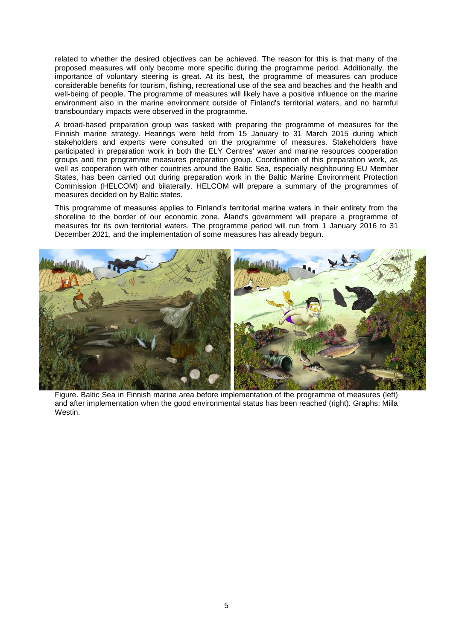related to whether the desired objectives can be achieved. The reason for this is that many of the proposed measures will only become more specific during the programme period. Additionally, the importance of voluntary steering is great. At its best, the programme of measures can produce considerable benefits for tourism, fishing, recreational use of the sea and beaches and the health and well-being of people. The programme of measures will likely have a positive influence on the marine environment also in the marine environment outside of Finland's territorial waters, and no harmful transboundary impacts were observed in the programme.

A broad-based preparation group was tasked with preparing the programme of measures for the Finnish marine strategy. Hearings were held from 15 January to 31 March 2015 during which stakeholders and experts were consulted on the programme of measures. Stakeholders have participated in preparation work in both the ELY Centres' water and marine resources cooperation groups and the programme measures preparation group. Coordination of this preparation work, as well as cooperation with other countries around the Baltic Sea, especially neighbouring EU Member States, has been carried out during preparation work in the Baltic Marine Environment Protection Commission (HELCOM) and bilaterally. HELCOM will prepare a summary of the programmes of measures decided on by Baltic states.

This programme of measures applies to Finland's territorial marine waters in their entirety from the shoreline to the border of our economic zone. Åland's government will prepare a programme of measures for its own territorial waters. The programme period will run from 1 January 2016 to 31 December 2021, and the implementation of some measures has already begun.



Figure. Baltic Sea in Finnish marine area before implementation of the programme of measures (left) and after implementation when the good environmental status has been reached (right). Graphs: Miila Westin.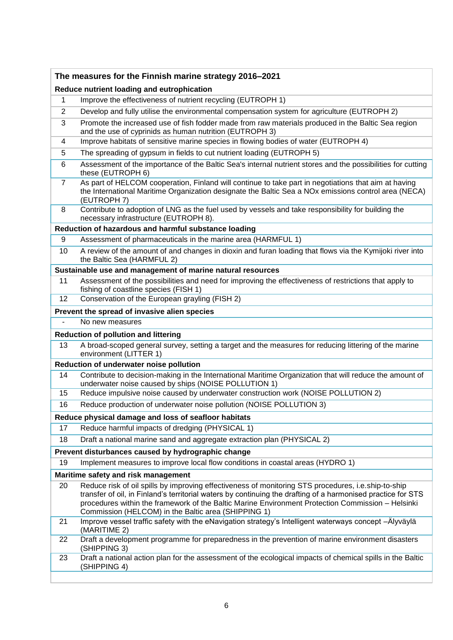| The measures for the Finnish marine strategy 2016-2021     |                                                                                                                                                                                                                                                                                                                                                                                 |  |
|------------------------------------------------------------|---------------------------------------------------------------------------------------------------------------------------------------------------------------------------------------------------------------------------------------------------------------------------------------------------------------------------------------------------------------------------------|--|
| Reduce nutrient loading and eutrophication                 |                                                                                                                                                                                                                                                                                                                                                                                 |  |
| 1                                                          | Improve the effectiveness of nutrient recycling (EUTROPH 1)                                                                                                                                                                                                                                                                                                                     |  |
| 2                                                          | Develop and fully utilise the environmental compensation system for agriculture (EUTROPH 2)                                                                                                                                                                                                                                                                                     |  |
| 3                                                          | Promote the increased use of fish fodder made from raw materials produced in the Baltic Sea region<br>and the use of cyprinids as human nutrition (EUTROPH 3)                                                                                                                                                                                                                   |  |
| 4                                                          | Improve habitats of sensitive marine species in flowing bodies of water (EUTROPH 4)                                                                                                                                                                                                                                                                                             |  |
| 5                                                          | The spreading of gypsum in fields to cut nutrient loading (EUTROPH 5)                                                                                                                                                                                                                                                                                                           |  |
| 6                                                          | Assessment of the importance of the Baltic Sea's internal nutrient stores and the possibilities for cutting<br>these (EUTROPH 6)                                                                                                                                                                                                                                                |  |
| $\overline{7}$                                             | As part of HELCOM cooperation, Finland will continue to take part in negotiations that aim at having<br>the International Maritime Organization designate the Baltic Sea a NOx emissions control area (NECA)<br>(EUTROPH 7)                                                                                                                                                     |  |
| 8                                                          | Contribute to adoption of LNG as the fuel used by vessels and take responsibility for building the<br>necessary infrastructure (EUTROPH 8).                                                                                                                                                                                                                                     |  |
| Reduction of hazardous and harmful substance loading       |                                                                                                                                                                                                                                                                                                                                                                                 |  |
| 9                                                          | Assessment of pharmaceuticals in the marine area (HARMFUL 1)                                                                                                                                                                                                                                                                                                                    |  |
| 10                                                         | A review of the amount of and changes in dioxin and furan loading that flows via the Kymijoki river into<br>the Baltic Sea (HARMFUL 2)                                                                                                                                                                                                                                          |  |
| Sustainable use and management of marine natural resources |                                                                                                                                                                                                                                                                                                                                                                                 |  |
| 11                                                         | Assessment of the possibilities and need for improving the effectiveness of restrictions that apply to<br>fishing of coastline species (FISH 1)                                                                                                                                                                                                                                 |  |
| 12                                                         | Conservation of the European grayling (FISH 2)                                                                                                                                                                                                                                                                                                                                  |  |
| Prevent the spread of invasive alien species               |                                                                                                                                                                                                                                                                                                                                                                                 |  |
|                                                            | No new measures                                                                                                                                                                                                                                                                                                                                                                 |  |
| <b>Reduction of pollution and littering</b>                |                                                                                                                                                                                                                                                                                                                                                                                 |  |
| 13                                                         | A broad-scoped general survey, setting a target and the measures for reducing littering of the marine<br>environment (LITTER 1)                                                                                                                                                                                                                                                 |  |
| Reduction of underwater noise pollution                    |                                                                                                                                                                                                                                                                                                                                                                                 |  |
| 14                                                         | Contribute to decision-making in the International Maritime Organization that will reduce the amount of<br>underwater noise caused by ships (NOISE POLLUTION 1)                                                                                                                                                                                                                 |  |
| 15                                                         | Reduce impulsive noise caused by underwater construction work (NOISE POLLUTION 2)                                                                                                                                                                                                                                                                                               |  |
| 16                                                         | Reduce production of underwater noise pollution (NOISE POLLUTION 3)                                                                                                                                                                                                                                                                                                             |  |
| Reduce physical damage and loss of seafloor habitats       |                                                                                                                                                                                                                                                                                                                                                                                 |  |
| 17                                                         | Reduce harmful impacts of dredging (PHYSICAL 1)                                                                                                                                                                                                                                                                                                                                 |  |
| 18                                                         | Draft a national marine sand and aggregate extraction plan (PHYSICAL 2)                                                                                                                                                                                                                                                                                                         |  |
|                                                            | Prevent disturbances caused by hydrographic change                                                                                                                                                                                                                                                                                                                              |  |
| 19                                                         | Implement measures to improve local flow conditions in coastal areas (HYDRO 1)                                                                                                                                                                                                                                                                                                  |  |
| Maritime safety and risk management                        |                                                                                                                                                                                                                                                                                                                                                                                 |  |
| 20                                                         | Reduce risk of oil spills by improving effectiveness of monitoring STS procedures, i.e.ship-to-ship<br>transfer of oil, in Finland's territorial waters by continuing the drafting of a harmonised practice for STS<br>procedures within the framework of the Baltic Marine Environment Protection Commission - Helsinki<br>Commission (HELCOM) in the Baltic area (SHIPPING 1) |  |
| 21                                                         | Improve vessel traffic safety with the eNavigation strategy's Intelligent waterways concept - Älyväylä<br>(MARITIME 2)                                                                                                                                                                                                                                                          |  |
| 22                                                         | Draft a development programme for preparedness in the prevention of marine environment disasters<br>(SHIPPING 3)                                                                                                                                                                                                                                                                |  |
| 23                                                         | Draft a national action plan for the assessment of the ecological impacts of chemical spills in the Baltic<br>(SHIPPING 4)                                                                                                                                                                                                                                                      |  |